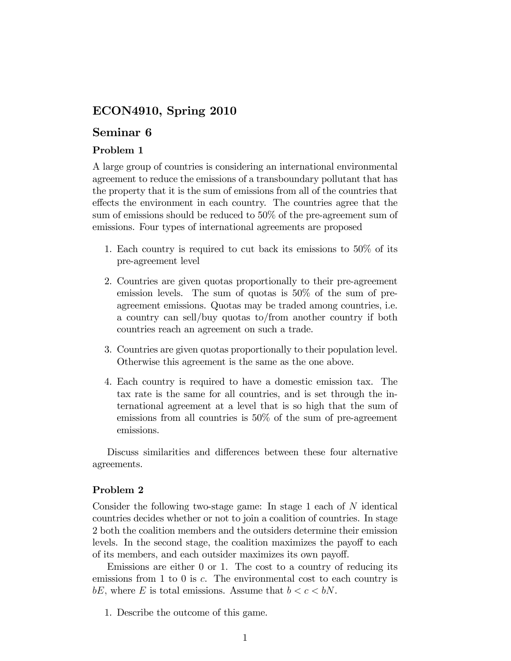# ECON4910, Spring 2010

# Seminar 6

## Problem 1

A large group of countries is considering an international environmental agreement to reduce the emissions of a transboundary pollutant that has the property that it is the sum of emissions from all of the countries that effects the environment in each country. The countries agree that the sum of emissions should be reduced to 50% of the pre-agreement sum of emissions. Four types of international agreements are proposed

- 1. Each country is required to cut back its emissions to 50% of its pre-agreement level
- 2. Countries are given quotas proportionally to their pre-agreement emission levels. The sum of quotas is 50% of the sum of preagreement emissions. Quotas may be traded among countries, i.e. a country can sell/buy quotas to/from another country if both countries reach an agreement on such a trade.
- 3. Countries are given quotas proportionally to their population level. Otherwise this agreement is the same as the one above.
- 4. Each country is required to have a domestic emission tax. The tax rate is the same for all countries, and is set through the international agreement at a level that is so high that the sum of emissions from all countries is 50% of the sum of pre-agreement emissions.

Discuss similarities and differences between these four alternative agreements.

### Problem 2

Consider the following two-stage game: In stage 1 each of N identical countries decides whether or not to join a coalition of countries. In stage 2 both the coalition members and the outsiders determine their emission levels. In the second stage, the coalition maximizes the payoff to each of its members, and each outsider maximizes its own payoff.

Emissions are either 0 or 1. The cost to a country of reducing its emissions from 1 to 0 is c. The environmental cost to each country is bE, where E is total emissions. Assume that  $b < c < bN$ .

1. Describe the outcome of this game.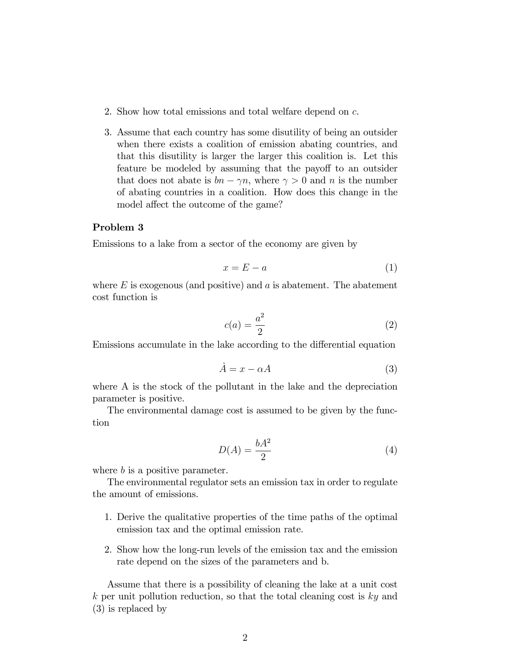- 2. Show how total emissions and total welfare depend on c.
- 3. Assume that each country has some disutility of being an outsider when there exists a coalition of emission abating countries, and that this disutility is larger the larger this coalition is. Let this feature be modeled by assuming that the payoff to an outsider that does not abate is  $bn - \gamma n$ , where  $\gamma > 0$  and n is the number of abating countries in a coalition. How does this change in the model affect the outcome of the game?

### Problem 3

Emissions to a lake from a sector of the economy are given by

$$
x = E - a \tag{1}
$$

where  $E$  is exogenous (and positive) and a is abatement. The abatement cost function is

$$
c(a) = \frac{a^2}{2} \tag{2}
$$

Emissions accumulate in the lake according to the differential equation

$$
\dot{A} = x - \alpha A \tag{3}
$$

where A is the stock of the pollutant in the lake and the depreciation parameter is positive.

The environmental damage cost is assumed to be given by the function

$$
D(A) = \frac{bA^2}{2} \tag{4}
$$

where b is a positive parameter.

The environmental regulator sets an emission tax in order to regulate the amount of emissions.

- 1. Derive the qualitative properties of the time paths of the optimal emission tax and the optimal emission rate.
- 2. Show how the long-run levels of the emission tax and the emission rate depend on the sizes of the parameters and b.

Assume that there is a possibility of cleaning the lake at a unit cost  $k$  per unit pollution reduction, so that the total cleaning cost is  $ky$  and (3) is replaced by